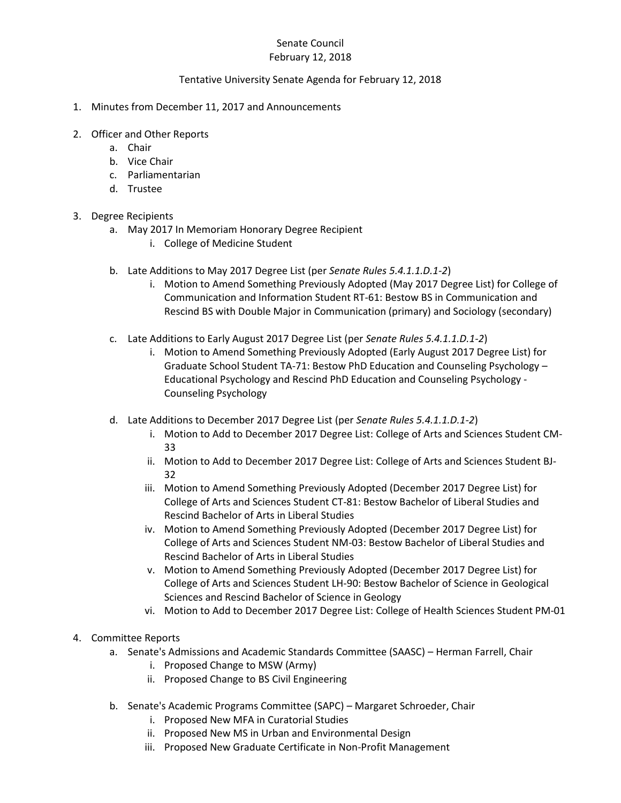#### Senate Council February 12, 2018

## Tentative University Senate Agenda for February 12, 2018

- 1. Minutes from December 11, 2017 and Announcements
- 2. Officer and Other Reports
	- a. Chair
	- b. Vice Chair
	- c. Parliamentarian
	- d. Trustee

## 3. Degree Recipients

- a. May 2017 In Memoriam Honorary Degree Recipient
	- i. College of Medicine Student
- b. Late Additions to May 2017 Degree List (per *Senate Rules 5.4.1.1.D.1-2*)
	- i. Motion to Amend Something Previously Adopted (May 2017 Degree List) for College of Communication and Information Student RT-61: Bestow BS in Communication and Rescind BS with Double Major in Communication (primary) and Sociology (secondary)
- c. Late Additions to Early August 2017 Degree List (per *Senate Rules 5.4.1.1.D.1-2*)
	- i. Motion to Amend Something Previously Adopted (Early August 2017 Degree List) for Graduate School Student TA-71: Bestow PhD Education and Counseling Psychology – Educational Psychology and Rescind PhD Education and Counseling Psychology - Counseling Psychology
- d. Late Additions to December 2017 Degree List (per *Senate Rules 5.4.1.1.D.1-2*)
	- i. Motion to Add to December 2017 Degree List: College of Arts and Sciences Student CM-33
	- ii. Motion to Add to December 2017 Degree List: College of Arts and Sciences Student BJ-32
	- iii. Motion to Amend Something Previously Adopted (December 2017 Degree List) for College of Arts and Sciences Student CT-81: Bestow Bachelor of Liberal Studies and Rescind Bachelor of Arts in Liberal Studies
	- iv. Motion to Amend Something Previously Adopted (December 2017 Degree List) for College of Arts and Sciences Student NM-03: Bestow Bachelor of Liberal Studies and Rescind Bachelor of Arts in Liberal Studies
	- v. Motion to Amend Something Previously Adopted (December 2017 Degree List) for College of Arts and Sciences Student LH-90: Bestow Bachelor of Science in Geological Sciences and Rescind Bachelor of Science in Geology
	- vi. Motion to Add to December 2017 Degree List: College of Health Sciences Student PM-01
- 4. Committee Reports
	- a. Senate's Admissions and Academic Standards Committee (SAASC) Herman Farrell, Chair
		- i. Proposed Change to MSW (Army)
		- ii. Proposed Change to BS Civil Engineering
	- b. Senate's Academic Programs Committee (SAPC) Margaret Schroeder, Chair
		- i. Proposed New MFA in Curatorial Studies
		- ii. Proposed New MS in Urban and Environmental Design
		- iii. Proposed New Graduate Certificate in Non-Profit Management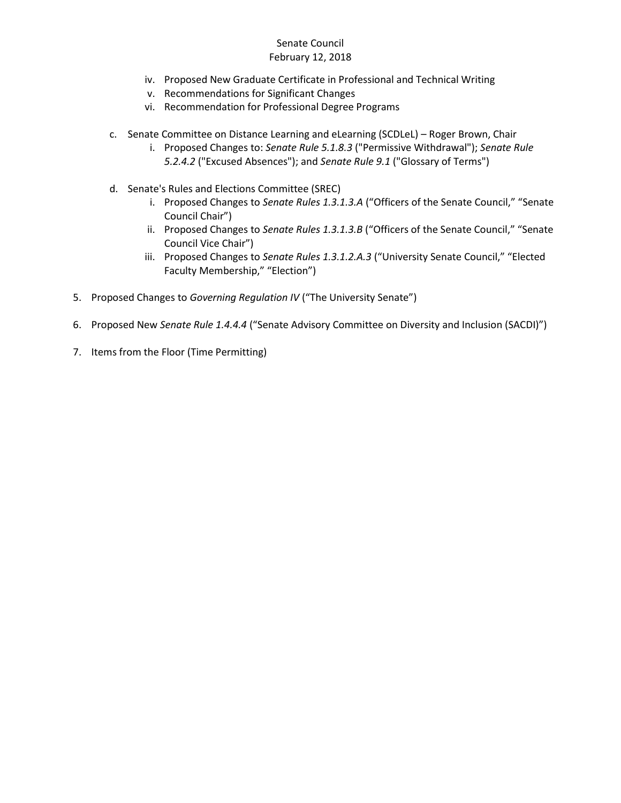#### Senate Council February 12, 2018

- iv. Proposed New Graduate Certificate in Professional and Technical Writing
- v. Recommendations for Significant Changes
- vi. Recommendation for Professional Degree Programs
- c. Senate Committee on Distance Learning and eLearning (SCDLeL) Roger Brown, Chair
	- i. Proposed Changes to: *Senate Rule 5.1.8.3* ("Permissive Withdrawal"); *Senate Rule 5.2.4.2* ("Excused Absences"); and *Senate Rule 9.1* ("Glossary of Terms")
- d. Senate's Rules and Elections Committee (SREC)
	- i. Proposed Changes to *Senate Rules 1.3.1.3.A* ("Officers of the Senate Council," "Senate Council Chair")
	- ii. Proposed Changes to *Senate Rules 1.3.1.3.B* ("Officers of the Senate Council," "Senate Council Vice Chair")
	- iii. Proposed Changes to *Senate Rules 1.3.1.2.A.3* ("University Senate Council," "Elected Faculty Membership," "Election")
- 5. Proposed Changes to *Governing Regulation IV* ("The University Senate")
- 6. Proposed New *Senate Rule 1.4.4.4* ("Senate Advisory Committee on Diversity and Inclusion (SACDI)")
- 7. Items from the Floor (Time Permitting)